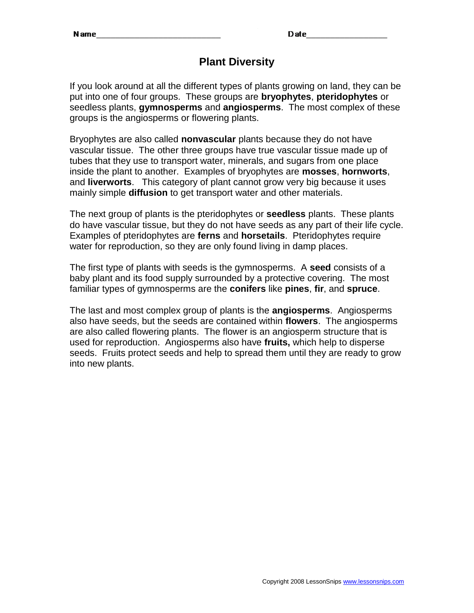Date

## **Plant Diversity**

If you look around at all the different types of plants growing on land, they can be put into one of four groups. These groups are **bryophytes**, **pteridophytes** or seedless plants, **gymnosperms** and **angiosperms**. The most complex of these groups is the angiosperms or flowering plants.

Bryophytes are also called **nonvascular** plants because they do not have vascular tissue. The other three groups have true vascular tissue made up of tubes that they use to transport water, minerals, and sugars from one place inside the plant to another. Examples of bryophytes are **mosses**, **hornworts**, and **liverworts**. This category of plant cannot grow very big because it uses mainly simple **diffusion** to get transport water and other materials.

The next group of plants is the pteridophytes or **seedless** plants. These plants do have vascular tissue, but they do not have seeds as any part of their life cycle. Examples of pteridophytes are **ferns** and **horsetails**. Pteridophytes require water for reproduction, so they are only found living in damp places.

The first type of plants with seeds is the gymnosperms. A **seed** consists of a baby plant and its food supply surrounded by a protective covering. The most familiar types of gymnosperms are the **conifers** like **pines**, **fir**, and **spruce**.

The last and most complex group of plants is the **angiosperms**. Angiosperms also have seeds, but the seeds are contained within **flowers**. The angiosperms are also called flowering plants. The flower is an angiosperm structure that is used for reproduction. Angiosperms also have **fruits,** which help to disperse seeds. Fruits protect seeds and help to spread them until they are ready to grow into new plants.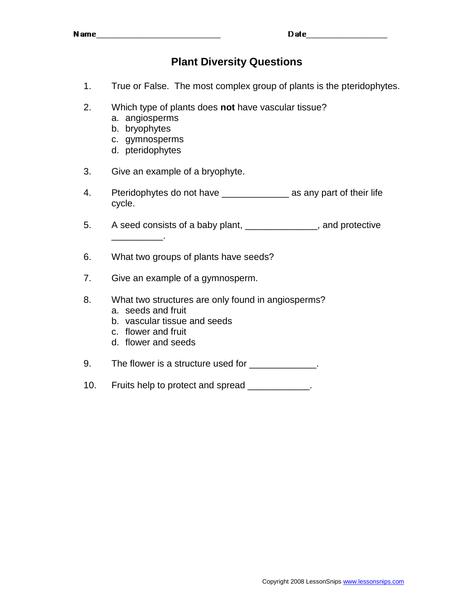## **Plant Diversity Questions**

- 1. True or False. The most complex group of plants is the pteridophytes.
- 2. Which type of plants does **not** have vascular tissue?
	- a. angiosperms
	- b. bryophytes

 $\overline{\phantom{a}}$  . The set of the set of the set of the set of the set of the set of the set of the set of the set of the set of the set of the set of the set of the set of the set of the set of the set of the set of the set o

- c. gymnosperms
- d. pteridophytes
- 3. Give an example of a bryophyte.
- 4. Pteridophytes do not have as any part of their life cycle.
- 5. A seed consists of a baby plant, \_\_\_\_\_\_\_\_\_\_\_\_\_, and protective
- 6. What two groups of plants have seeds?
- 7. Give an example of a gymnosperm.
- 8. What two structures are only found in angiosperms?
	- a. seeds and fruit
	- b. vascular tissue and seeds
	- c. flower and fruit
	- d. flower and seeds

9. The flower is a structure used for \_\_\_\_\_\_\_\_\_\_\_\_.

10. Fruits help to protect and spread \_\_\_\_\_\_\_\_\_\_\_.